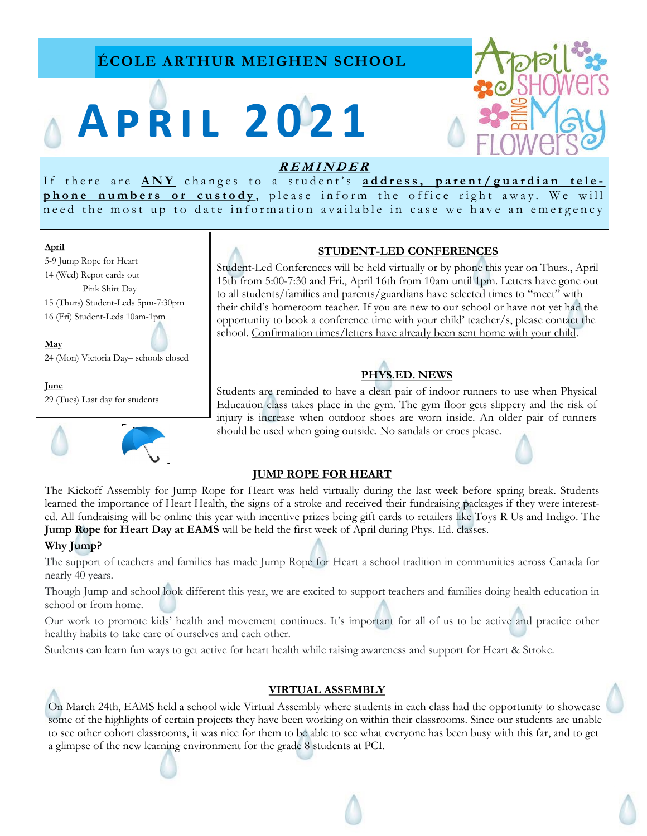# **ÉCOLE ARTHUR MEIGHEN SCHOOL**

# **A p r i l 2 0 2 1**



## **<sup>R</sup> <sup>E</sup> <sup>M</sup> <sup>I</sup> <sup>N</sup> <sup>D</sup> <sup>E</sup> <sup>R</sup>**

If there are  $\overline{\text{ANY}}$  changes to a student's address, parent/guardian telephone numbers or custody, please inform the office right away. We will need the most up to date information available in case we have an emergency

#### **April**

- 5-9 Jump Rope for Heart 14 (Wed) Repot cards out Pink Shirt Day 15 (Thurs) Student-Leds 5pm-7:30pm
- 16 (Fri) Student-Leds 10am-1pm

#### **May**

24 (Mon) Victoria Day– schools closed

#### **June**

29 (Tues) Last day for students



#### **STUDENT-LED CONFERENCES**

Student-Led Conferences will be held virtually or by phone this year on Thurs., April 15th from 5:00-7:30 and Fri., April 16th from 10am until 1pm. Letters have gone out to all students/families and parents/guardians have selected times to "meet" with their child's homeroom teacher. If you are new to our school or have not yet had the opportunity to book a conference time with your child' teacher/s, please contact the school. Confirmation times/letters have already been sent home with your child.

# **PHYS.ED. NEWS**

Students are reminded to have a clean pair of indoor runners to use when Physical Education class takes place in the gym. The gym floor gets slippery and the risk of injury is increase when outdoor shoes are worn inside. An older pair of runners should be used when going outside. No sandals or crocs please.

#### **JUMP ROPE FOR HEART**

The Kickoff Assembly for Jump Rope for Heart was held virtually during the last week before spring break. Students learned the importance of Heart Health, the signs of a stroke and received their fundraising packages if they were interested. All fundraising will be online this year with incentive prizes being gift cards to retailers like Toys R Us and Indigo. The **Jump Rope for Heart Day at EAMS** will be held the first week of April during Phys. Ed. classes.

## **Why Jump?**

The support of teachers and families has made Jump Rope for Heart a school tradition in communities across Canada for nearly 40 years.

Though Jump and school look different this year, we are excited to support teachers and families doing health education in school or from home.

Our work to promote kids' health and movement continues. It's important for all of us to be active and practice other healthy habits to take care of ourselves and each other.

Students can learn fun ways to get active for heart health while raising awareness and support for Heart & Stroke.

#### **VIRTUAL ASSEMBLY**

On March 24th, EAMS held a school wide Virtual Assembly where students in each class had the opportunity to showcase some of the highlights of certain projects they have been working on within their classrooms. Since our students are unable to see other cohort classrooms, it was nice for them to be able to see what everyone has been busy with this far, and to get a glimpse of the new learning environment for the grade 8 students at PCI.